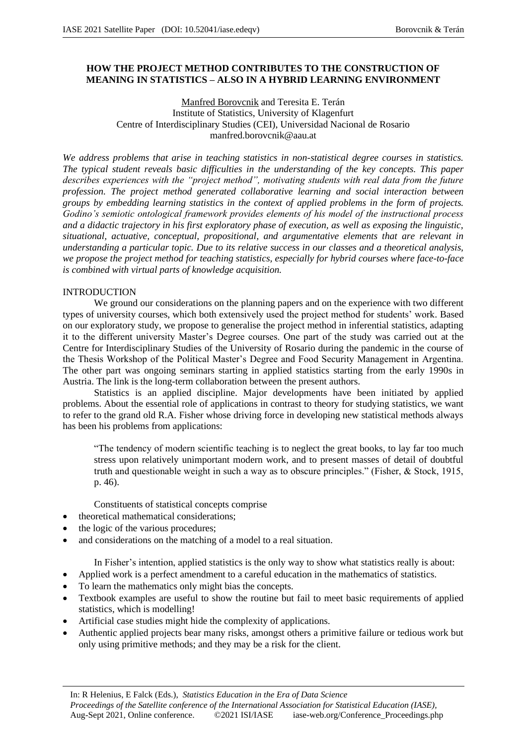## **HOW THE PROJECT METHOD CONTRIBUTES TO THE CONSTRUCTION OF MEANING IN STATISTICS – ALSO IN A HYBRID LEARNING ENVIRONMENT**

## Manfred Borovcnik and Teresita E. Terán Institute of Statistics, University of Klagenfurt Centre of Interdisciplinary Studies (CEI), Universidad Nacional de Rosario manfred.borovcnik@aau.at

*We address problems that arise in teaching statistics in non-statistical degree courses in statistics. The typical student reveals basic difficulties in the understanding of the key concepts. This paper describes experiences with the "project method", motivating students with real data from the future profession. The project method generated collaborative learning and social interaction between groups by embedding learning statistics in the context of applied problems in the form of projects. Godino's semiotic ontological framework provides elements of his model of the instructional process and a didactic trajectory in his first exploratory phase of execution, as well as exposing the linguistic, situational, actuative, conceptual, propositional, and argumentative elements that are relevant in understanding a particular topic. Due to its relative success in our classes and a theoretical analysis, we propose the project method for teaching statistics, especially for hybrid courses where face-to-face is combined with virtual parts of knowledge acquisition.* 

# INTRODUCTION

We ground our considerations on the planning papers and on the experience with two different types of university courses, which both extensively used the project method for students' work. Based on our exploratory study, we propose to generalise the project method in inferential statistics, adapting it to the different university Master's Degree courses. One part of the study was carried out at the Centre for Interdisciplinary Studies of the University of Rosario during the pandemic in the course of the Thesis Workshop of the Political Master's Degree and Food Security Management in Argentina. The other part was ongoing seminars starting in applied statistics starting from the early 1990s in Austria. The link is the long-term collaboration between the present authors.

Statistics is an applied discipline. Major developments have been initiated by applied problems. About the essential role of applications in contrast to theory for studying statistics, we want to refer to the grand old R.A. Fisher whose driving force in developing new statistical methods always has been his problems from applications:

"The tendency of modern scientific teaching is to neglect the great books, to lay far too much stress upon relatively unimportant modern work, and to present masses of detail of doubtful truth and questionable weight in such a way as to obscure principles." (Fisher, & Stock, 1915, p. 46).

Constituents of statistical concepts comprise

- theoretical mathematical considerations:
- the logic of the various procedures;
- and considerations on the matching of a model to a real situation.

In Fisher's intention, applied statistics is the only way to show what statistics really is about:

- Applied work is a perfect amendment to a careful education in the mathematics of statistics.
- To learn the mathematics only might bias the concepts.
- Textbook examples are useful to show the routine but fail to meet basic requirements of applied statistics, which is modelling!
- Artificial case studies might hide the complexity of applications.
- Authentic applied projects bear many risks, amongst others a primitive failure or tedious work but only using primitive methods; and they may be a risk for the client.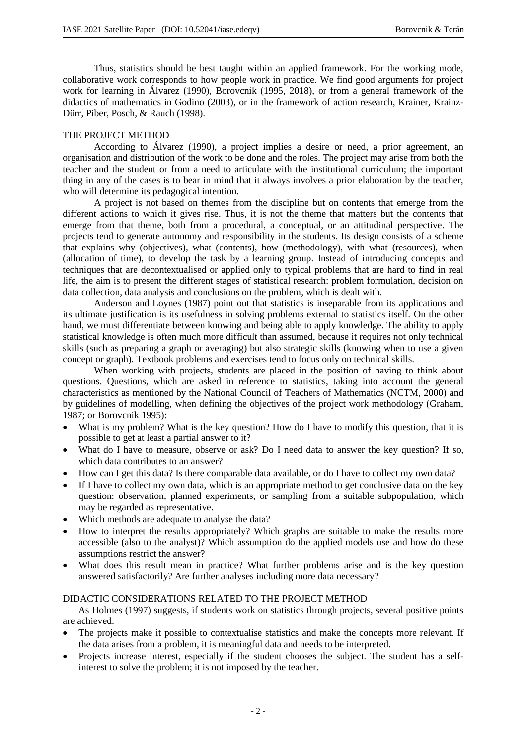Thus, statistics should be best taught within an applied framework. For the working mode, collaborative work corresponds to how people work in practice. We find good arguments for project work for learning in Álvarez (1990), Borovcnik (1995, 2018), or from a general framework of the didactics of mathematics in Godino (2003), or in the framework of action research, Krainer, Krainz-Dürr, Piber, Posch, & Rauch (1998).

## THE PROJECT METHOD

According to Álvarez (1990), a project implies a desire or need, a prior agreement, an organisation and distribution of the work to be done and the roles. The project may arise from both the teacher and the student or from a need to articulate with the institutional curriculum; the important thing in any of the cases is to bear in mind that it always involves a prior elaboration by the teacher, who will determine its pedagogical intention.

A project is not based on themes from the discipline but on contents that emerge from the different actions to which it gives rise. Thus, it is not the theme that matters but the contents that emerge from that theme, both from a procedural, a conceptual, or an attitudinal perspective. The projects tend to generate autonomy and responsibility in the students. Its design consists of a scheme that explains why (objectives), what (contents), how (methodology), with what (resources), when (allocation of time), to develop the task by a learning group. Instead of introducing concepts and techniques that are decontextualised or applied only to typical problems that are hard to find in real life, the aim is to present the different stages of statistical research: problem formulation, decision on data collection, data analysis and conclusions on the problem, which is dealt with.

Anderson and Loynes (1987) point out that statistics is inseparable from its applications and its ultimate justification is its usefulness in solving problems external to statistics itself. On the other hand, we must differentiate between knowing and being able to apply knowledge. The ability to apply statistical knowledge is often much more difficult than assumed, because it requires not only technical skills (such as preparing a graph or averaging) but also strategic skills (knowing when to use a given concept or graph). Textbook problems and exercises tend to focus only on technical skills.

When working with projects, students are placed in the position of having to think about questions. Questions, which are asked in reference to statistics, taking into account the general characteristics as mentioned by the National Council of Teachers of Mathematics (NCTM, 2000) and by guidelines of modelling, when defining the objectives of the project work methodology (Graham, 1987; or Borovcnik 1995):

- What is my problem? What is the key question? How do I have to modify this question, that it is possible to get at least a partial answer to it?
- What do I have to measure, observe or ask? Do I need data to answer the key question? If so, which data contributes to an answer?
- How can I get this data? Is there comparable data available, or do I have to collect my own data?
- If I have to collect my own data, which is an appropriate method to get conclusive data on the key question: observation, planned experiments, or sampling from a suitable subpopulation, which may be regarded as representative.
- Which methods are adequate to analyse the data?
- How to interpret the results appropriately? Which graphs are suitable to make the results more accessible (also to the analyst)? Which assumption do the applied models use and how do these assumptions restrict the answer?
- What does this result mean in practice? What further problems arise and is the key question answered satisfactorily? Are further analyses including more data necessary?

## DIDACTIC CONSIDERATIONS RELATED TO THE PROJECT METHOD

As Holmes (1997) suggests, if students work on statistics through projects, several positive points are achieved:

- The projects make it possible to contextualise statistics and make the concepts more relevant. If the data arises from a problem, it is meaningful data and needs to be interpreted.
- Projects increase interest, especially if the student chooses the subject. The student has a selfinterest to solve the problem; it is not imposed by the teacher.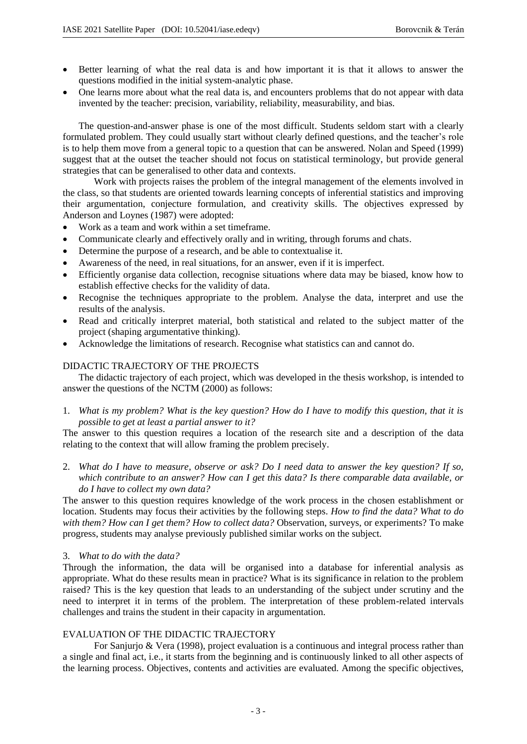- Better learning of what the real data is and how important it is that it allows to answer the questions modified in the initial system-analytic phase.
- One learns more about what the real data is, and encounters problems that do not appear with data invented by the teacher: precision, variability, reliability, measurability, and bias.

The question-and-answer phase is one of the most difficult. Students seldom start with a clearly formulated problem. They could usually start without clearly defined questions, and the teacher's role is to help them move from a general topic to a question that can be answered. Nolan and Speed (1999) suggest that at the outset the teacher should not focus on statistical terminology, but provide general strategies that can be generalised to other data and contexts.

Work with projects raises the problem of the integral management of the elements involved in the class, so that students are oriented towards learning concepts of inferential statistics and improving their argumentation, conjecture formulation, and creativity skills. The objectives expressed by Anderson and Loynes (1987) were adopted:

- Work as a team and work within a set timeframe.
- Communicate clearly and effectively orally and in writing, through forums and chats.
- Determine the purpose of a research, and be able to contextualise it.
- Awareness of the need, in real situations, for an answer, even if it is imperfect.
- Efficiently organise data collection, recognise situations where data may be biased, know how to establish effective checks for the validity of data.
- Recognise the techniques appropriate to the problem. Analyse the data, interpret and use the results of the analysis.
- Read and critically interpret material, both statistical and related to the subject matter of the project (shaping argumentative thinking).
- Acknowledge the limitations of research. Recognise what statistics can and cannot do.

## DIDACTIC TRAJECTORY OF THE PROJECTS

The didactic trajectory of each project, which was developed in the thesis workshop, is intended to answer the questions of the NCTM (2000) as follows:

1. *What is my problem? What is the key question? How do I have to modify this question, that it is possible to get at least a partial answer to it?*

The answer to this question requires a location of the research site and a description of the data relating to the context that will allow framing the problem precisely.

2. *What do I have to measure, observe or ask? Do I need data to answer the key question? If so, which contribute to an answer? How can I get this data? Is there comparable data available, or do I have to collect my own data?*

The answer to this question requires knowledge of the work process in the chosen establishment or location. Students may focus their activities by the following steps. *How to find the data? What to do with them? How can I get them? How to collect data?* Observation, surveys, or experiments? To make progress, students may analyse previously published similar works on the subject.

#### 3. *What to do with the data?*

Through the information, the data will be organised into a database for inferential analysis as appropriate. What do these results mean in practice? What is its significance in relation to the problem raised? This is the key question that leads to an understanding of the subject under scrutiny and the need to interpret it in terms of the problem. The interpretation of these problem-related intervals challenges and trains the student in their capacity in argumentation.

## EVALUATION OF THE DIDACTIC TRAJECTORY

For Sanjurjo & Vera (1998), project evaluation is a continuous and integral process rather than a single and final act, i.e., it starts from the beginning and is continuously linked to all other aspects of the learning process. Objectives, contents and activities are evaluated. Among the specific objectives,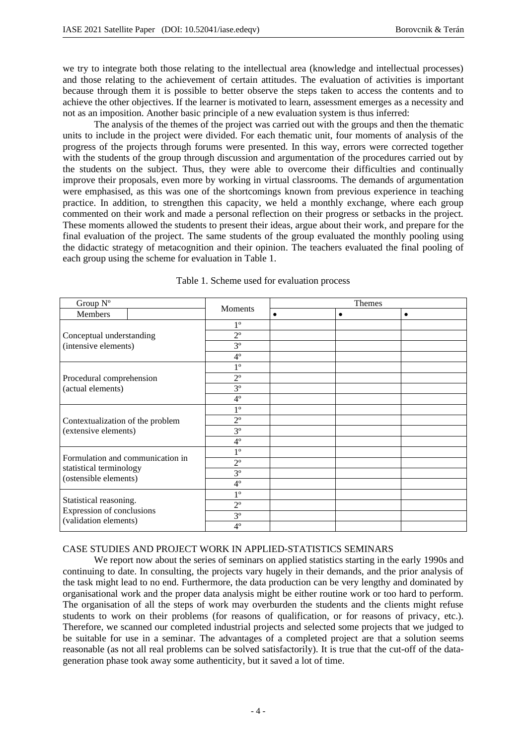we try to integrate both those relating to the intellectual area (knowledge and intellectual processes) and those relating to the achievement of certain attitudes. The evaluation of activities is important because through them it is possible to better observe the steps taken to access the contents and to achieve the other objectives. If the learner is motivated to learn, assessment emerges as a necessity and not as an imposition. Another basic principle of a new evaluation system is thus inferred:

The analysis of the themes of the project was carried out with the groups and then the thematic units to include in the project were divided. For each thematic unit, four moments of analysis of the progress of the projects through forums were presented. In this way, errors were corrected together with the students of the group through discussion and argumentation of the procedures carried out by the students on the subject. Thus, they were able to overcome their difficulties and continually improve their proposals, even more by working in virtual classrooms. The demands of argumentation were emphasised, as this was one of the shortcomings known from previous experience in teaching practice. In addition, to strengthen this capacity, we held a monthly exchange, where each group commented on their work and made a personal reflection on their progress or setbacks in the project. These moments allowed the students to present their ideas, argue about their work, and prepare for the final evaluation of the project. The same students of the group evaluated the monthly pooling using the didactic strategy of metacognition and their opinion. The teachers evaluated the final pooling of each group using the scheme for evaluation in Table 1.

| Group N°                                                                             |  |                | Themes    |   |           |
|--------------------------------------------------------------------------------------|--|----------------|-----------|---|-----------|
| Members                                                                              |  | <b>Moments</b> | $\bullet$ | ٠ | $\bullet$ |
| Conceptual understanding<br>(intensive elements)                                     |  | $1^{\circ}$    |           |   |           |
|                                                                                      |  | $2^{\circ}$    |           |   |           |
|                                                                                      |  | $3^{\circ}$    |           |   |           |
|                                                                                      |  | $4^{\circ}$    |           |   |           |
| Procedural comprehension<br>(actual elements)                                        |  | $1^{\circ}$    |           |   |           |
|                                                                                      |  | $2^{\circ}$    |           |   |           |
|                                                                                      |  | $3^{\circ}$    |           |   |           |
|                                                                                      |  | $4^{\circ}$    |           |   |           |
| Contextualization of the problem<br>(extensive elements)                             |  | 1 <sup>o</sup> |           |   |           |
|                                                                                      |  | $2^{\circ}$    |           |   |           |
|                                                                                      |  | $3^{\circ}$    |           |   |           |
|                                                                                      |  | $4^{\circ}$    |           |   |           |
| Formulation and communication in<br>statistical terminology<br>(ostensible elements) |  | $1^{\circ}$    |           |   |           |
|                                                                                      |  | $2^{\circ}$    |           |   |           |
|                                                                                      |  | $3^{\circ}$    |           |   |           |
|                                                                                      |  | $4^{\circ}$    |           |   |           |
|                                                                                      |  | $1^{\circ}$    |           |   |           |
| Statistical reasoning.<br>Expression of conclusions<br>(validation elements)         |  | $2^{\circ}$    |           |   |           |
|                                                                                      |  | $3^{\circ}$    |           |   |           |
|                                                                                      |  | $4^{\circ}$    |           |   |           |

Table 1. Scheme used for evaluation process

## CASE STUDIES AND PROJECT WORK IN APPLIED-STATISTICS SEMINARS

We report now about the series of seminars on applied statistics starting in the early 1990s and continuing to date. In consulting, the projects vary hugely in their demands, and the prior analysis of the task might lead to no end. Furthermore, the data production can be very lengthy and dominated by organisational work and the proper data analysis might be either routine work or too hard to perform. The organisation of all the steps of work may overburden the students and the clients might refuse students to work on their problems (for reasons of qualification, or for reasons of privacy, etc.). Therefore, we scanned our completed industrial projects and selected some projects that we judged to be suitable for use in a seminar. The advantages of a completed project are that a solution seems reasonable (as not all real problems can be solved satisfactorily). It is true that the cut-off of the datageneration phase took away some authenticity, but it saved a lot of time.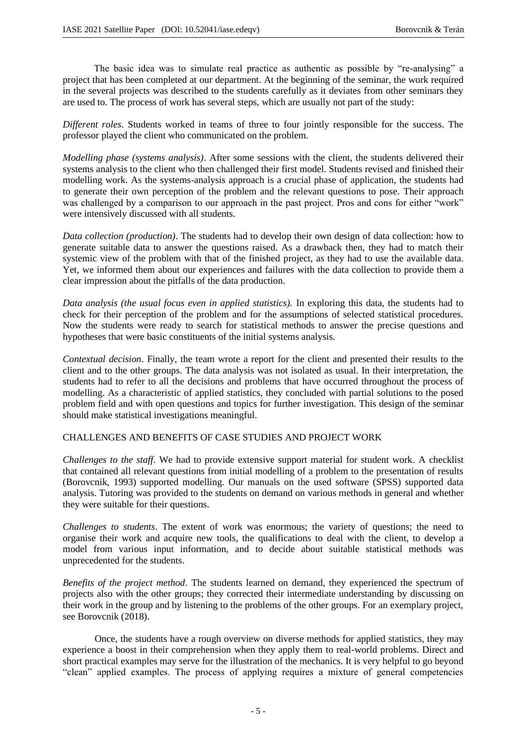The basic idea was to simulate real practice as authentic as possible by "re-analysing" a project that has been completed at our department. At the beginning of the seminar, the work required in the several projects was described to the students carefully as it deviates from other seminars they are used to. The process of work has several steps, which are usually not part of the study:

*Different roles*. Students worked in teams of three to four jointly responsible for the success. The professor played the client who communicated on the problem.

*Modelling phase (systems analysis)*. After some sessions with the client, the students delivered their systems analysis to the client who then challenged their first model. Students revised and finished their modelling work. As the systems-analysis approach is a crucial phase of application, the students had to generate their own perception of the problem and the relevant questions to pose. Their approach was challenged by a comparison to our approach in the past project. Pros and cons for either "work" were intensively discussed with all students.

*Data collection (production)*. The students had to develop their own design of data collection: how to generate suitable data to answer the questions raised. As a drawback then, they had to match their systemic view of the problem with that of the finished project, as they had to use the available data. Yet, we informed them about our experiences and failures with the data collection to provide them a clear impression about the pitfalls of the data production.

*Data analysis (the usual focus even in applied statistics).* In exploring this data, the students had to check for their perception of the problem and for the assumptions of selected statistical procedures. Now the students were ready to search for statistical methods to answer the precise questions and hypotheses that were basic constituents of the initial systems analysis.

*Contextual decision*. Finally, the team wrote a report for the client and presented their results to the client and to the other groups. The data analysis was not isolated as usual. In their interpretation, the students had to refer to all the decisions and problems that have occurred throughout the process of modelling. As a characteristic of applied statistics, they concluded with partial solutions to the posed problem field and with open questions and topics for further investigation. This design of the seminar should make statistical investigations meaningful.

# CHALLENGES AND BENEFITS OF CASE STUDIES AND PROJECT WORK

*Challenges to the staff*. We had to provide extensive support material for student work. A checklist that contained all relevant questions from initial modelling of a problem to the presentation of results (Borovcnik, 1993) supported modelling. Our manuals on the used software (SPSS) supported data analysis. Tutoring was provided to the students on demand on various methods in general and whether they were suitable for their questions.

*Challenges to students*. The extent of work was enormous; the variety of questions; the need to organise their work and acquire new tools, the qualifications to deal with the client, to develop a model from various input information, and to decide about suitable statistical methods was unprecedented for the students.

*Benefits of the project method*. The students learned on demand, they experienced the spectrum of projects also with the other groups; they corrected their intermediate understanding by discussing on their work in the group and by listening to the problems of the other groups. For an exemplary project, see Borovcnik (2018).

Once, the students have a rough overview on diverse methods for applied statistics, they may experience a boost in their comprehension when they apply them to real-world problems. Direct and short practical examples may serve for the illustration of the mechanics. It is very helpful to go beyond "clean" applied examples. The process of applying requires a mixture of general competencies